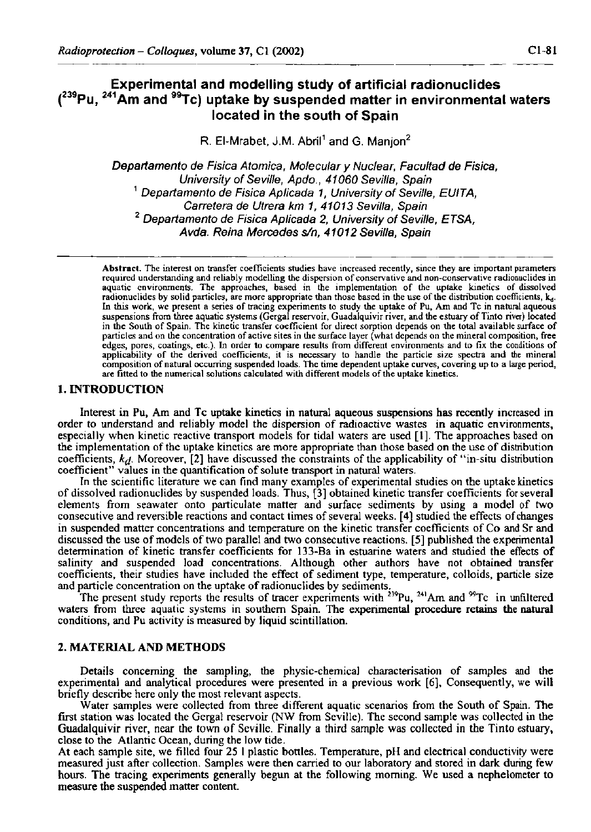## **Experimental and modelling study of artificial radionuclides ( <sup>239</sup> Pu, 2 4 <sup>1</sup> Am and <sup>99</sup>Tc) uptake by suspended matter in environmental waters located in the south of Spain**

**R. El-Mrabet, J.M. Abril<sup>1</sup> and G. Manjon<sup>2</sup>**

*Departamento de Física Atómica, Molecular y Nuclear, Facultad de Física, University of Seville, Apdo., 41060 Sevilla, Spain 1 Departamento de Física Aplicada 1, University of Seville, EUITA, Carretera de Utrera km 1, 41013 Sevilla, Spain 2 Departamento de Física Aplicada 2, University of Seville, ETSA, Avda. Reina Mercedes s/n, 41012 Sevilla, Spain* 

**Abstract. The interest on transfer coefficients studies have increased recently, since they are important parameters**  required understanding and reliably modelling the dispersion of conservative and non-conservative radionuclides in<br>aquatic environments. The approaches, based in the implementation of the uptake kinetics of dissolved radionuclides by solid particles, are more appropriate than those based in the use of the distribution coefficients, k<sub>1</sub>. **In this work, we present a series of tracing experiments to study the uptake of Pu, Am and Tc in natural aqueous suspensions from three aquatic systems (Gergal reservoir, Guadalquivir river, and the estuary of Tinto river) located in the South of Spain. The kinetic transfer coefficient for direct sorption depends on the total available surface of particles and on the concentration of active sites in the surface layer (what depends on the mineral composition, free edges, pores, coatings, etc.). In order to compare results from different environments and to fix the conditions of applicability of the derived coefficients, it is necessary to handle the particle size spectra and the mineral**  composition of natural occurring suspended loads. The time dependent uptake curves, covering up to a large period, **are fitted to the numerical solutions calculated with different models of the uptake kinetics.** 

#### **1.** INTRODUCTION

Interest in Pu, Am and Tc uptake kinetics in natural aqueous suspensions has recently increased in order to understand and reliably model the dispersion of radioactive wastes in aquatic environments, especially when kinetic reactive transport models for tidal waters are used [1]. The approaches based on the implementation of the uptake kinetics are more appropriate than those based on the use of distribution coefficients, *kd.* Moreover, [2] have discussed the constraints of the applicability of "in-situ distribution coefficient" values in the quantification of solute transport in natural waters.

In the scientific literature we can find many examples of experimental studies on the uptake kinetics of dissolved radionuclides by suspended loads. Thus, [3] obtained kinetic transfer coefficients for several elements from seawater onto particulate matter and surface sediments by using a model of two consecutive and reversible reactions and contact times of several weeks. [4] studied the effects of changes in suspended matter concentrations and temperature on the kinetic transfer coefficients of Co and Sr and discussed the use of models of two parallel and two consecutive reactions. [5] published the experimental determination of kinetic transfer coefficients for 133-Ba in estuarine waters and studied the effects of salinity and suspended load concentrations. Although other authors have not obtained transfer coefficients, their studies have included the effect of sediment type, temperature, colloids, particle size and particle concentration on the uptake of radionuclides by sediments.

The present study reports the results of tracer experiments with  $2^{39}Pu$ ,  $2^{41}Am$  and  $9^{9}Tc$  in unfiltered waters from three aquatic systems in southern Spain. The experimental procedure retains the natural conditions, and Pu activity is measured by liquid scintillation.

## 2. MATERIAL AND METHODS

Details concerning the sampling, the physic-chemical characterisation of samples and the experimental and analytical procedures were presented in a previous work [6], Consequently, we will briefly describe here only the most relevant aspects.

Water samples were collected from three different aquatic scenarios from the South of Spain. The first station was located the Gergal reservoir (NW from Seville). The second sample was collected in the Guadalquivir river, near the town of Seville. Finally a third sample was collected in the Tinto estuary, close to the Atlantic Ocean, during the low tide.

At each sample site, we filled four 25 1 plastic bottles. Temperature, pH and electrical conductivity were measured just after collection. Samples were then carried to our laboratory and stored in dark during few hours. The tracing experiments generally begun at the following morning. We used a nephelometer to measure the suspended matter content.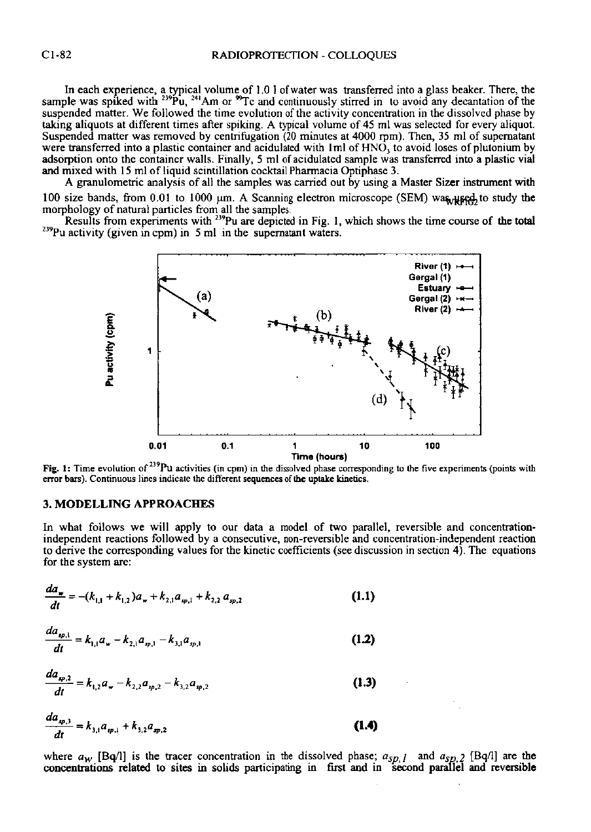In each experience, a typical volume of 1.0 1 of water was transferred into a glass beaker. There, the sample was spiked with <sup>239</sup>Pu, <sup>241</sup>Am or <sup>96</sup>Tc and continuously stirred in to avoid any decantation of the suspended matter. We followed the time evolution of the activity concentration in the dissolved phase by taking aliquots at different times after spiking. A typical volume of 45 ml was selected for every aliquot. Suspended matter was removed by centrifugation (20 minutes at 4000 rpm). Then, 35 ml of supernatant were transferred into a plastic container and acidulated with  $1 \text{ ml}$  of  $\text{HNO}_3$  to avoid loses of plutonium by adsorption onto the container walls. Finally, 5 ml of acidulated sample was transferred into a plastic vial and mixed with 15 ml of liquid scintillation cocktail Pharmacia Optiphase 3.

A granulometric analysis of all the samples was carried out by using a Master Sizer instrument **with**  100 size bands, from 0.01 to 1000 um. A Scanning electron microscope (SEM) wa^^se^to study **the**  morphology of natural particles from all the samples.

Results from experiments with <sup>239</sup>Pu are depicted in Fig. 1, which shows the time course of the total <sup>239</sup>Pu activity (given in cpm) in 5 ml in the supernatant waters.



Fig. 1: Time evolution of <sup>239</sup>Pu activities (in cpm) in the dissolved phase corresponding to the five experiments (points with error bars). Continuous lines indicate the different sequences of the uptake kinetics.

## **3.** MODELLING APPROACHES

In what follows we will apply to our data a model of two parallel, reversible and concentrationindependent reactions followed by a consecutive, non-reversible and concentration-independent reaction to derive the corresponding values for the kinetic coefficients (see discussion in section 4). The equations for the system are:

$$
\frac{da_w}{dt} = -(k_{1,1} + k_{1,2})a_w + k_{2,1}a_{sp,1} + k_{2,2}a_{sp,2}
$$
\n(1.1)

$$
\frac{da_{\varphi,1}}{dt} = k_{1,1}a_{\omega} - k_{2,1}a_{\varphi,1} - k_{3,1}a_{\varphi,1}
$$
\n(1.2)

$$
\frac{da_{\varphi,2}}{dt} = k_{1,2}a_{\varphi} - k_{2,2}a_{\varphi,2} - k_{3,2}a_{\varphi,2}
$$
\n(1.3)

$$
\frac{da_{sp,3}}{dt} = k_{3,1}a_{sp,1} + k_{3,2}a_{sp,2}
$$
\n(1.4)

where  $a_w$  [Bq/1] is the tracer concentration in the dissolved phase;  $a_{sp}$ <sub>*j*</sub> and  $a_{sp}$ <sub>2</sub> [Bq/1] are the **concentrations related to sites in solids** participating in first **and** in **second parallel and reversible**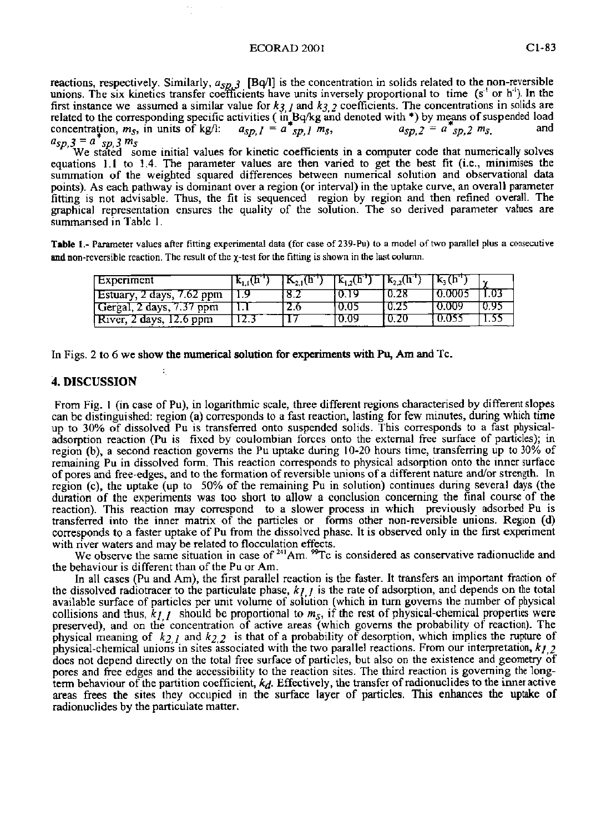#### ECORAD 2001 Cl-83

reactions, respectively. Similarly,  $a_{5p,3}$  [Bq/l] is the concentration in solids related to the non-reversible<br>unions. The six kinetics transfer coefficients have units inversely proportional to time (s<sup>-1</sup> or h<sup>-1</sup>). first instance we assumed a similar value for  $k_3$  *I* and  $k_3$  2 coefficients. The concentrations in solids are related to the corresponding specific activities (in Bq/kg and denoted with \*) by means of suspended load<br>concentration,  $m_S$ , in units of kg/l:  $a_{SD,I} = a^*_{SD,I} m_S$ ,  $a_{SD,Z} = a^*_{SD,Z} m_S$  and

 $a_{sp,3} = a^*_{sp,3} m_s$ <br>We stated some initial values for kinetic coefficients in a computer code that numerically solves equations 1.1 to 1.4. The parameter values are then varied to get the best fit (i.e., minimises the summation of the weighted squared differences between numerical solution and observational data points). As each pathway is dominant over a region (or interval) in the uptake curve, an overall parameter fitting is not advisable. Thus, the fit is sequenced region by region and then refined overall. The graphical representation ensures the quality of the solution. The so derived parameter values are<br>summarised in Table I summarised in Table 1.

**Table 1.- Parameter values after fitting experimental data (for case of 239-Pu) to a model of two parallel plus a consecutive**  and non-reversible reaction. The result of the  $\chi$ -test for the fitting is shown in the last column.

| Experiment                | k., (h |     | $\mathbf{K}_{12}$ (h <sup>-1</sup> ) | $\overline{\text{K}_{2}}$ , $\overline{\text{h}}$ | $k_{1}$ (h |  |
|---------------------------|--------|-----|--------------------------------------|---------------------------------------------------|------------|--|
| Estuary, 2 days, 7.62 ppm |        |     | 10.19                                | 0.28                                              | 0.0001     |  |
| Gergal, 2 days, 7.37 ppm  |        | 2.6 | 10.05                                | '0.25                                             | -0.009     |  |
| [River, 2 days, 12.6 ppm] | 12.3   |     | 0.09                                 | I 0.20                                            | 0.055      |  |

In Figs. 2 to 6 we show the numerical solution for experiments with Pu, Am and Tc.

#### 4. DISCUSSION

From Fig. 1 (in case of Pu), in logarithmic scale, three different regions characterised by different slopes can be distinguished: region (a) corresponds to a fast reaction, lasting for few minutes, during which time up to 30% of dissolved Pu is transferred onto suspended solids. This corresponds to a fast physicaladsorption reaction (Pu is fixed by coulombian forces onto the external free surface of particles); in region (b), a second reaction governs the Pu uptake during 10-20 hours time, transferring up to 30% of remaining Pu in dissolved form. This reaction corresponds to physical adsorption onto the inner surface of pores and free-edges, and to the formation of reversible unions of a different nature and/or strength. In region (c), the uptake (up to 50% of the remaining Pu in solution) continues during several days (the duration of the experiments was too short to allow a conclusion concerning the final course of the reaction). This reaction may correspond to a slower process in which previously adsorbed Pu is transferred into the inner matrix of the particles or forms other non-reversible unions. Region (d) corresponds to a faster uptake of Pu from the dissolved phase. It is observed only in the first experiment with river waters and may be related to flocculation effects.

We observe the same situation in case of  $^{241}$ Am.  $^{99}$ Tc is considered as conservative radionuclide and the behaviour is different than of the Pu or Am.

In all cases (Pu and Am), the first parallel reaction is the faster. It transfers an important fraction of the dissolved radiotracer to the particulate phase,  $kj$  is the rate of adsorption, and depends on the total available surface of particles per unit volume of solution (which in turn governs the number of physical collisions and thus,  $k_{I,I}$  should be proportional to  $m_S$ , if the rest of physical-chemical properties were preserved), and on thé concentration of active areas (which governs the probability of reaction). The physical meaning of  $k_{2,1}$  and  $k_{2,2}$  is that of a probability of desorption, which implies the rupture of physical-chemical unions in sites associated with the two parallel reactions. From our interpretation, *kj 2*  does not depend directly on the total free surface of particles, but also on the existence and geometry of pores and free edges and the accessibility to the reaction sites. The third reaction is governing the longterm behaviour of the partition coefficient,  $k_d$ . Effectively, the transfer of radionuclides to the inner active areas frees the sites they occupied in the surface layer of particles. This enhances the uptake of radionuclides by the particulate matter.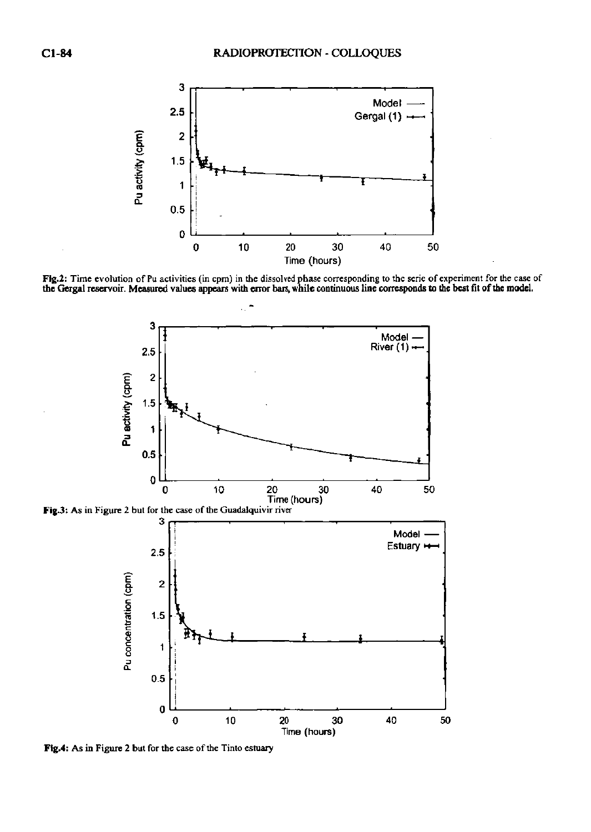

Fig.2: Time evolution of Pu activities (in cpm) in the dissolved phase corresponding to the serie of experiment for the case of<br>the Gergal reservoir. Measured values appears with error bars, while continuous line correspon



**Fig.3: As in Figure 2 but for the case of the Guadalquivir river** 



**Ftg.4: As in Figure 2 but for the case of the Tinto estuary**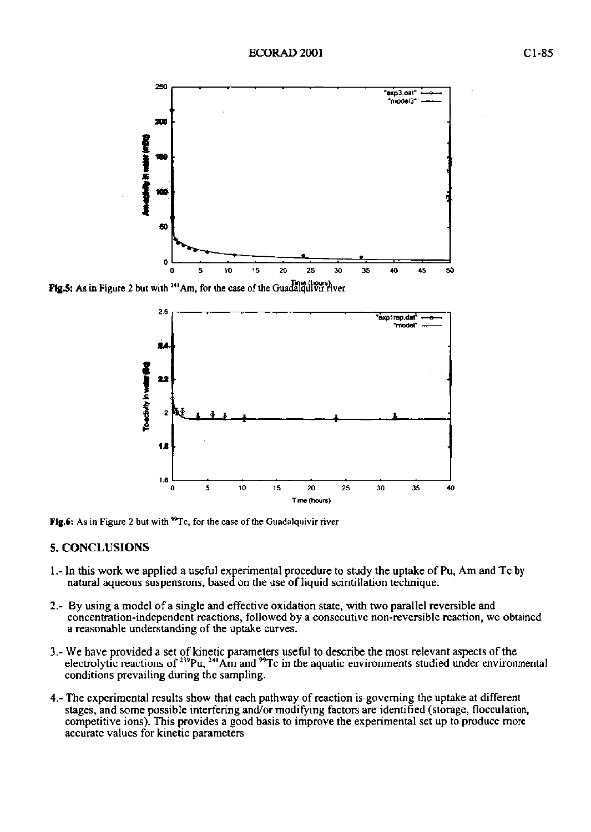

**Fig.5:** As in Figure 2 but with <sup>241</sup> Am, for the case of the Guadalquivir fiver



**Fig.6:** As in Figure 2 but with <sup>99</sup>Tc, for the case of the Guadalquivir river

# $5.$  Concretions.

- L- In this work we applied a useful experimental procedure to study the uptake of Pu, Am and Tc by natural aqueous suspensions, based on the use of liquid scintillation technique.
- *2.-* By using a model of a single and effective oxidation state, with two parallel reversible and concentration-independent reactions, followed by a consecutive non-reversible reaction, we obtained a reasonable understanding of the uptake curves.
- 3.- We have provided a set of kinetic parameters useful to describe the most relevant aspects of the electrolytic reactions of <sup>239</sup>Pu, <sup>24</sup> Am and <sup>26</sup>Tc in the aquatic environments studied under environmental conditions prevailing during the sampling.
- 4.- The experimental results show that each pathway of reaction is governing the uptake at different stages, and some possible interfering and/or modifying factors are identified (storage, flocculation, competitive ions). This provides a good basis to improve the experimental set up to produce more accurate values for kinetic parameters